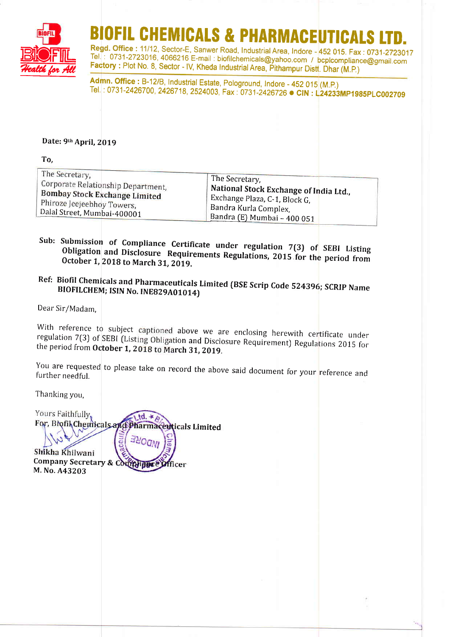

# OFIL CHEMICALS & PHARMACEUTICAL

Regd. Office : 11/12, Sector-E, Sanwer Road, Industrial Area, Indore - 452 015. Fax : 0731-2723017<br>Tel. : 0731-2723016, 4066216 E-mail : biofilchemicals@yahoo.com / bcplcompliance@gmail.com Factory : Plot No. 8, Sector - IV, Kheda Industrial Area, Pithampur Distt. Dhar (M.P.)

Admn. Office : B-12/B, Industrial Estate, Pologround, Indore - 452 015 (M.P.) Tel. : 0731-2426700, 2426718, 2524003, Fax: 0731-2426726 **CIN : L24233MP1985PLC002709** 

#### Date: 9th April, 2019

| To,                                  |
|--------------------------------------|
| The Secretary,                       |
| Corporate Relationship Department,   |
| <b>Bombay Stock Exchange Limited</b> |
| Phiroze Jeejeebhoy Towers,           |
| Dalal Street, Mumbai-400001          |

The Secretary, Bandra (E) Mumbai - 400 <sup>051</sup> National Stock Exchange of India Ltd., Exchange Plaza,  $C-1$ , Block  $G$ , Bandra Kurla Complex,

#### Sub: Submission of Compliance Certificate under regulation 7(3) of SEBI Listing Obligation and Disclosure Requirements Regulations, 2015 for the period from<br>October 1, 2018 to March 31, 2019. October 1, 2018 to March 31, 2019.

## Ref: Biofil Chemicals and Pharmaceuticals Limited (BSE Scrip Code 524396; SCRIP Name<br>BIOFILCHEM; ISIN No. INE829A01014)

Dear Sir/Madam,

With reference to subject captioned above we are enclosing herewith certificate under regulation 7(3) of SEBI (Listing Obligation and Disclosure Requirement) Regulations 2015 for the period from October 1, 2018 to March 31

You are requested to please take on record the above said document for your reference and<br>further needful. further needful.

Thanking you,

Yours Faithfully.  $td.*$ For, Biofil Chemicals and Pharmaceuticals Limited

:'Ogh Shikha Khilwani Company Secretary & Comphance Officer M. No. A43203